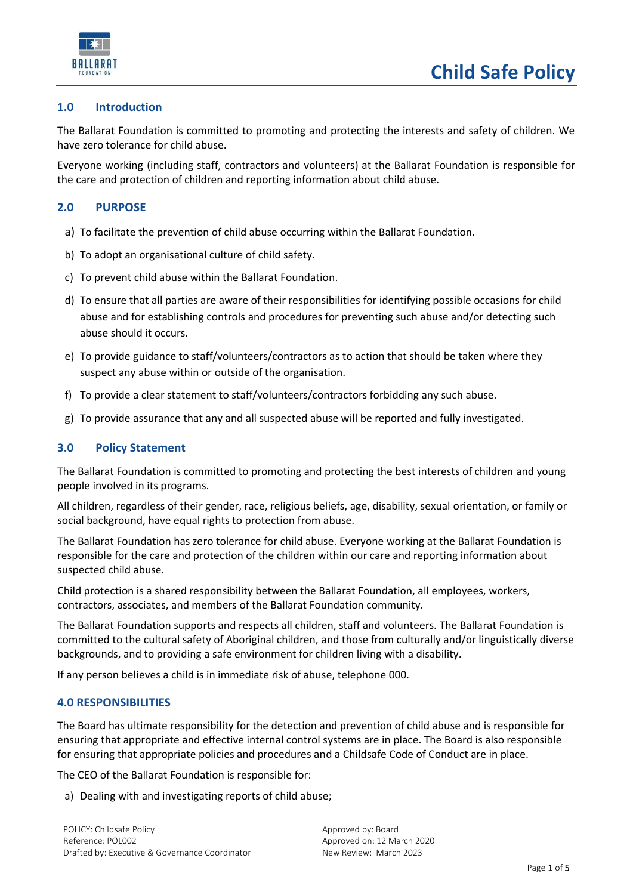

## **1.0 Introduction**

The Ballarat Foundation is committed to promoting and protecting the interests and safety of children. We have zero tolerance for child abuse.

Everyone working (including staff, contractors and volunteers) at the Ballarat Foundation is responsible for the care and protection of children and reporting information about child abuse.

## **2.0 PURPOSE**

- a) To facilitate the prevention of child abuse occurring within the Ballarat Foundation.
- b) To adopt an organisational culture of child safety.
- c) To prevent child abuse within the Ballarat Foundation.
- d) To ensure that all parties are aware of their responsibilities for identifying possible occasions for child abuse and for establishing controls and procedures for preventing such abuse and/or detecting such abuse should it occurs.
- e) To provide guidance to staff/volunteers/contractors as to action that should be taken where they suspect any abuse within or outside of the organisation.
- f) To provide a clear statement to staff/volunteers/contractors forbidding any such abuse.
- g) To provide assurance that any and all suspected abuse will be reported and fully investigated.

### **3.0 Policy Statement**

The Ballarat Foundation is committed to promoting and protecting the best interests of children and young people involved in its programs.

All children, regardless of their gender, race, religious beliefs, age, disability, sexual orientation, or family or social background, have equal rights to protection from abuse.

The Ballarat Foundation has zero tolerance for child abuse. Everyone working at the Ballarat Foundation is responsible for the care and protection of the children within our care and reporting information about suspected child abuse.

Child protection is a shared responsibility between the Ballarat Foundation, all employees, workers, contractors, associates, and members of the Ballarat Foundation community.

The Ballarat Foundation supports and respects all children, staff and volunteers. The Ballarat Foundation is committed to the cultural safety of Aboriginal children, and those from culturally and/or linguistically diverse backgrounds, and to providing a safe environment for children living with a disability.

If any person believes a child is in immediate risk of abuse, telephone 000.

### **4.0 RESPONSIBILITIES**

The Board has ultimate responsibility for the detection and prevention of child abuse and is responsible for ensuring that appropriate and effective internal control systems are in place. The Board is also responsible for ensuring that appropriate policies and procedures and a Childsafe Code of Conduct are in place.

The CEO of the Ballarat Foundation is responsible for:

a) Dealing with and investigating reports of child abuse;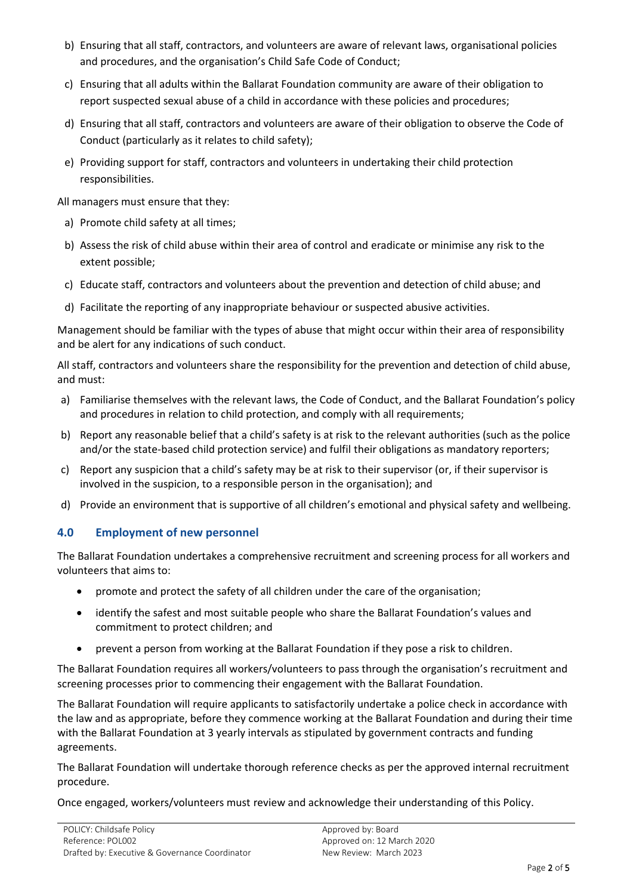- b) Ensuring that all staff, contractors, and volunteers are aware of relevant laws, organisational policies and procedures, and the organisation's Child Safe Code of Conduct;
- c) Ensuring that all adults within the Ballarat Foundation community are aware of their obligation to report suspected sexual abuse of a child in accordance with these policies and procedures;
- d) Ensuring that all staff, contractors and volunteers are aware of their obligation to observe the Code of Conduct (particularly as it relates to child safety);
- e) Providing support for staff, contractors and volunteers in undertaking their child protection responsibilities.

All managers must ensure that they:

- a) Promote child safety at all times;
- b) Assess the risk of child abuse within their area of control and eradicate or minimise any risk to the extent possible;
- c) Educate staff, contractors and volunteers about the prevention and detection of child abuse; and
- d) Facilitate the reporting of any inappropriate behaviour or suspected abusive activities.

Management should be familiar with the types of abuse that might occur within their area of responsibility and be alert for any indications of such conduct.

All staff, contractors and volunteers share the responsibility for the prevention and detection of child abuse, and must:

- a) Familiarise themselves with the relevant laws, the Code of Conduct, and the Ballarat Foundation's policy and procedures in relation to child protection, and comply with all requirements;
- b) Report any reasonable belief that a child's safety is at risk to the relevant authorities (such as the police and/or the state-based child protection service) and fulfil their obligations as mandatory reporters;
- c) Report any suspicion that a child's safety may be at risk to their supervisor (or, if their supervisor is involved in the suspicion, to a responsible person in the organisation); and
- d) Provide an environment that is supportive of all children's emotional and physical safety and wellbeing.

# **4.0 Employment of new personnel**

The Ballarat Foundation undertakes a comprehensive recruitment and screening process for all workers and volunteers that aims to:

- promote and protect the safety of all children under the care of the organisation;
- identify the safest and most suitable people who share the Ballarat Foundation's values and commitment to protect children; and
- prevent a person from working at the Ballarat Foundation if they pose a risk to children.

The Ballarat Foundation requires all workers/volunteers to pass through the organisation's recruitment and screening processes prior to commencing their engagement with the Ballarat Foundation.

The Ballarat Foundation will require applicants to satisfactorily undertake a police check in accordance with the law and as appropriate, before they commence working at the Ballarat Foundation and during their time with the Ballarat Foundation at 3 yearly intervals as stipulated by government contracts and funding agreements.

The Ballarat Foundation will undertake thorough reference checks as per the approved internal recruitment procedure.

Once engaged, workers/volunteers must review and acknowledge their understanding of this Policy.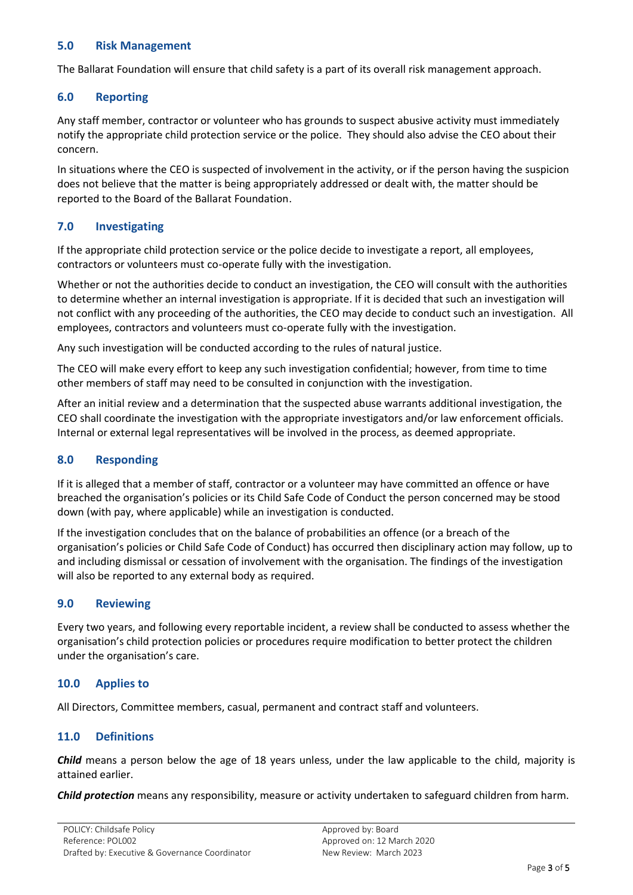#### **5.0 Risk Management**

The Ballarat Foundation will ensure that child safety is a part of its overall risk management approach.

#### **6.0 Reporting**

Any staff member, contractor or volunteer who has grounds to suspect abusive activity must immediately notify the appropriate child protection service or the police. They should also advise the CEO about their concern.

In situations where the CEO is suspected of involvement in the activity, or if the person having the suspicion does not believe that the matter is being appropriately addressed or dealt with, the matter should be reported to the Board of the Ballarat Foundation.

### **7.0 Investigating**

If the appropriate child protection service or the police decide to investigate a report, all employees, contractors or volunteers must co-operate fully with the investigation.

Whether or not the authorities decide to conduct an investigation, the CEO will consult with the authorities to determine whether an internal investigation is appropriate. If it is decided that such an investigation will not conflict with any proceeding of the authorities, the CEO may decide to conduct such an investigation. All employees, contractors and volunteers must co-operate fully with the investigation.

Any such investigation will be conducted according to the rules of natural justice.

The CEO will make every effort to keep any such investigation confidential; however, from time to time other members of staff may need to be consulted in conjunction with the investigation.

After an initial review and a determination that the suspected abuse warrants additional investigation, the CEO shall coordinate the investigation with the appropriate investigators and/or law enforcement officials. Internal or external legal representatives will be involved in the process, as deemed appropriate.

### **8.0 Responding**

If it is alleged that a member of staff, contractor or a volunteer may have committed an offence or have breached the organisation's policies or its Child Safe Code of Conduct the person concerned may be stood down (with pay, where applicable) while an investigation is conducted.

If the investigation concludes that on the balance of probabilities an offence (or a breach of the organisation's policies or Child Safe Code of Conduct) has occurred then disciplinary action may follow, up to and including dismissal or cessation of involvement with the organisation. The findings of the investigation will also be reported to any external body as required.

### **9.0 Reviewing**

Every two years, and following every reportable incident, a review shall be conducted to assess whether the organisation's child protection policies or procedures require modification to better protect the children under the organisation's care.

### **10.0 Applies to**

All Directors, Committee members, casual, permanent and contract staff and volunteers.

### **11.0 Definitions**

*Child* means a person below the age of 18 years unless, under the law applicable to the child, majority is attained earlier.

*Child protection* means any responsibility, measure or activity undertaken to safeguard children from harm.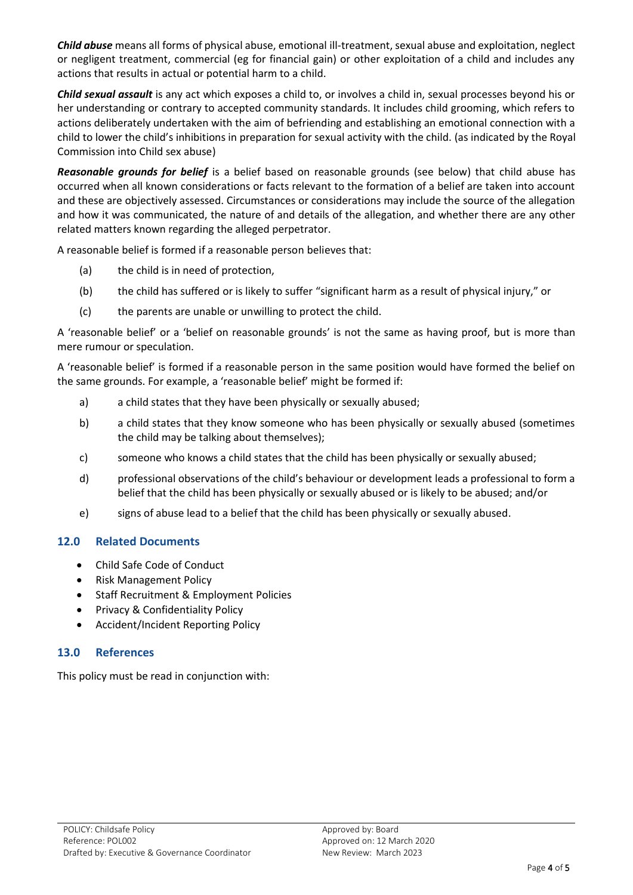*Child abuse* means all forms of physical abuse, emotional ill-treatment, sexual abuse and exploitation, neglect or negligent treatment, commercial (eg for financial gain) or other exploitation of a child and includes any actions that results in actual or potential harm to a child.

*Child sexual assault* is any act which exposes a child to, or involves a child in, sexual processes beyond his or her understanding or contrary to accepted community standards. It includes child grooming, which refers to actions deliberately undertaken with the aim of befriending and establishing an emotional connection with a child to lower the child's inhibitions in preparation for sexual activity with the child. (as indicated by the Royal Commission into Child sex abuse)

*Reasonable grounds for belief* is a belief based on reasonable grounds (see below) that child abuse has occurred when all known considerations or facts relevant to the formation of a belief are taken into account and these are objectively assessed. Circumstances or considerations may include the source of the allegation and how it was communicated, the nature of and details of the allegation, and whether there are any other related matters known regarding the alleged perpetrator.

A reasonable belief is formed if a reasonable person believes that:

- (a) the child is in need of protection,
- (b) the child has suffered or is likely to suffer "significant harm as a result of physical injury," or
- (c) the parents are unable or unwilling to protect the child.

A 'reasonable belief' or a 'belief on reasonable grounds' is not the same as having proof, but is more than mere rumour or speculation.

A 'reasonable belief' is formed if a reasonable person in the same position would have formed the belief on the same grounds. For example, a 'reasonable belief' might be formed if:

- a) a child states that they have been physically or sexually abused;
- b) a child states that they know someone who has been physically or sexually abused (sometimes the child may be talking about themselves);
- c) someone who knows a child states that the child has been physically or sexually abused;
- d) professional observations of the child's behaviour or development leads a professional to form a belief that the child has been physically or sexually abused or is likely to be abused; and/or
- e) signs of abuse lead to a belief that the child has been physically or sexually abused.

# **12.0 Related Documents**

- Child Safe Code of Conduct
- Risk Management Policy
- Staff Recruitment & Employment Policies
- Privacy & Confidentiality Policy
- Accident/Incident Reporting Policy

# **13.0 References**

This policy must be read in conjunction with: